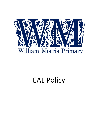

# EAL Policy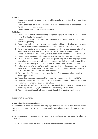## **Purposes**

- To promote equality of opportunity for all learners for whom English is an additional language.
- To deliver a broad, balanced curriculum which reflects the needs of children for whom English is an additional language.
- To ensure EAL pupils reach their full potential.

# **Guidelines**

- 1. To promote academic achievement by grouping EAL pupils according to cognitive level rather than English language level.
- 2. To identify language outcomes for all curriculum areas and include in medium-term and weekly planning.
- 3. To promote and encourage the development of the children's first languages in order to facilitate concept development in tandem with their acquisition of English.
- 4. To provide pupils with access to resources which are age appropriate, at an appropriate language level, and are linguistically and culturally appropriate.
- 5. To use key visuals and other strategies to support children's access to the curriculum.
- 6. To ensure that language and literacy are taught within the context of all subjects.
- 7. To ensure that learners not yet fluent in spoken English or the language of the curriculum are entitled to receive planned support for their oracy and literacy skills.
- 8. To actively liaise with parents to help them to support their children's learning.
- 9. To facilitate parents' access to school life by providing dual language information and bilingual support especially for parents' evenings, school events and workshops, and to monitor parental involvement where possible.
- 10. To ensure that EAL pupils are assessed in their first language where possible and where appropriate.
- 11. To seek first language assessment to ensure the accurate identification of SEN.
- 12. To monitor the results of statutory tests by language and ethnic group and set targets to address any underachievement identified.
- 13. To provide all staff with high-quality professional development to develop their knowledge of EAL pedagogy and their skills for teaching EAL learners.
- 14. To celebrate multilingual skills and promote linguistic diversity with all pupils.

# **Supporting the EAL Policy**

# **Whole school language development**

All teachers will need to consider the language demands as well as the content of the curriculum and plan how they can support pupils to develop oracy and literacy across the curriculum.

In writing schemes of work and medium term plans, teachers should consider the following questions:

1. What opportunities are there to explore ideas orally and collaboratively?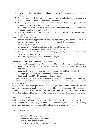- 2. How can teachers (or additional adults or other children) model the key subject language needed?
- 3. What specialist vocabulary do pupils need in order to understand new concepts and how can this be presented to them in an accessible way?
- 4. What range of texts do pupils need to read and how can their reading be scaffolded to support learners with diverse needs?
- 5. What types of written tasks do pupils need to carry out and how can these be framed to support pupils at different levels?
- 6. Are lessons planned to ensure that any additional adult has a clear role in developing literacy?

# **The role of class teachers is to:**

- develop consistent approaches to teaching and learning in literacy and to build increased awareness of the existing language knowledge and understanding that pupils bring to lessons
- use speaking and listening strategies to develop subject learning
- plan for teaching and learning of subject-specific vocabulary
- develop active reading strategies to increase pupils' ability to read for a purpose and engage with a variety of texts.
- model writing for key text types within their subject.

## **Language and literacy experiences of EAL learners**

- Some pupils already have good language and literacy skills in two or more languages
- Some pupils are beginner EAL learners have never learnt to read or write in any language
- Some pupils have missed some or all of their education and have not fully developed the language and literacy skills needed for primary school
- Some pupils have SEN with language or literacy needs

**All** these diverse groups benefit from teaching that develops their language and literacy so they become fluent in the academic language of the primary curriculum which is the key to academic success.

As pupils progress through school, the language and literacy demands of the curriculum **increase** and pupils need to develop a wider range of language skills, in particular making the transition from spoken to written forms. They also need to be able to adopt different styles (genres) to meet different purposes and audiences which need to be explicitly taught.

## **Beginner EAL learners**

It takes 1-2 years to become fluent in everyday spoken English, but 5-7 years to develop proficiency in formal, written English. Pupils who are new to English will benefit from being integrated into mainstream teaching and learning experiences most of the time.

This enables them to;

• develop oral fluency quickly immediately feel part of the school develop language in context experience their full curriculum entitlement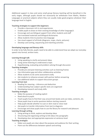Additional support in class and some small group literacy teaching will be beneficial in the early stages, although pupils should not necessarily be withdrawn from Maths, Modern Languages or practical subjects where they can usually make good progress whatever their language level in English.

## **Teaching strategies to support EAL beginners**

- Provide a classroom rich in oral experiences
- Enable pupils to draw on their existing knowledge of other language/s
- Encourage and use bilingual support from other students and staff
- Use translated materials and bilingual dictionaries
- Allow students time to practice new language
- Use visual support of all kinds (diagrams, maps, charts, pictures)
- Develop card sorting, sequencing and matching activities

## **Developing language and literacy skills**

In order to be fully literate, pupils need to be able to understand how we adapt our everyday speech into formal, written texts.

## **Learning through talk**

- 1. Using speaking to clarify and present ideas
- 2. Using active listening to understand a topic
- 3. Hypothesising, evaluating and problem solving through discussion

## **Teaching strategies**

- Provide pre and post listening activities such as listening frames
- Use information gap and other collaborative activities
- Allow students to do some assessment orally
- Ask students to rehearse answer with partner before answering
- Use additional adults to support discussion groups

## **Learning from text**

- 1. Reading for meaning inference and deduction
- 2. Understanding how subject specific texts are organised
- 3. Developing research and study skills

## **Teaching strategies**

- Make the purpose of reading explicit
- Read aloud to pupils
- Teach pupils how to find their way around text books and use index, contents, etc.
- Show pupils how to write questions before starting research
- Help pupils decide whether to scan or skim read or close read
- Ask pupils to transfer information from text to diagrams
- Encourage and show pupils how to use the library for research and pleasure

# **Learning through writing**

- 1. Using writing to think, explore and develop ideas
- 2. Structuring and organising writing to link ideas into paragraphs
- 3. Developing clear and appropriate expression at sentence level

## **Teaching strategies**

- Make sure pupils are clear about the purpose and audience for their writing
- Point out the differences between speech and writing